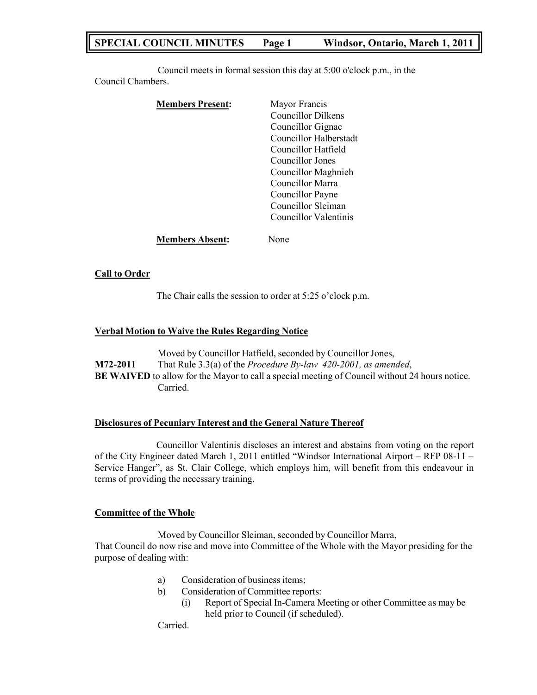# **SPECIAL COUNCIL MINUTES Page 1 Windsor, Ontario, March 1, 2011**

Council meets in formal session this day at 5:00 o'clock p.m., in the Council Chambers.

| <b>Members Present:</b> | Mayor Francis             |
|-------------------------|---------------------------|
|                         | <b>Councillor Dilkens</b> |
|                         | Councillor Gignac         |
|                         | Councillor Halberstadt    |
|                         | Councillor Hatfield       |
|                         | Councillor Jones          |
|                         | Councillor Maghnieh       |
|                         | Councillor Marra          |
|                         | Councillor Payne          |
|                         | Councillor Sleiman        |
|                         | Councillor Valentinis     |
| <b>Members Absent:</b>  | Jone                      |

### **Call to Order**

The Chair calls the session to order at 5:25 o'clock p.m.

#### **Verbal Motion to Waive the Rules Regarding Notice**

Moved by Councillor Hatfield, seconded by Councillor Jones, **M72-2011** That Rule 3.3(a) of the *Procedure By-law 420-2001, as amended*, **BE WAIVED** to allow for the Mayor to call a special meeting of Council without 24 hours notice. Carried.

#### **Disclosures of Pecuniary Interest and the General Nature Thereof**

Councillor Valentinis discloses an interest and abstains from voting on the report of the City Engineer dated March 1, 2011 entitled "Windsor International Airport – RFP 08-11 – Service Hanger", as St. Clair College, which employs him, will benefit from this endeavour in terms of providing the necessary training.

#### **Committee of the Whole**

Moved by Councillor Sleiman, seconded by Councillor Marra, That Council do now rise and move into Committee of the Whole with the Mayor presiding for the purpose of dealing with:

- a) Consideration of business items;
- b) Consideration of Committee reports:
	- (i) Report of Special In-Camera Meeting or other Committee as may be held prior to Council (if scheduled).

Carried.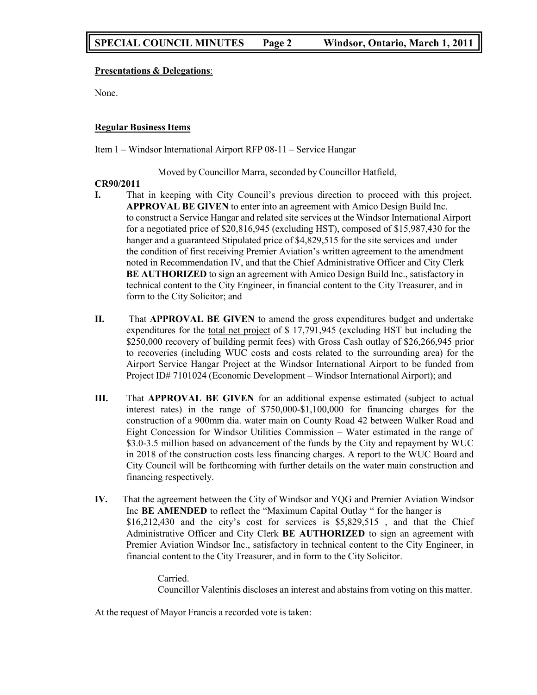### **Presentations & Delegations**:

None.

### **Regular Business Items**

Item 1 – Windsor International Airport RFP 08-11 – Service Hangar

Moved by Councillor Marra, seconded by Councillor Hatfield,

### **CR90/2011**

- **I.** That in keeping with City Council's previous direction to proceed with this project, **APPROVAL BE GIVEN** to enter into an agreement with Amico Design Build Inc. to construct a Service Hangar and related site services at the Windsor International Airport for a negotiated price of \$20,816,945 (excluding HST), composed of \$15,987,430 for the hanger and a guaranteed Stipulated price of \$4,829,515 for the site services and under the condition of first receiving Premier Aviation's written agreement to the amendment noted in Recommendation IV, and that the Chief Administrative Officer and City Clerk **BE AUTHORIZED** to sign an agreement with Amico Design Build Inc., satisfactory in technical content to the City Engineer, in financial content to the City Treasurer, and in form to the City Solicitor; and
- **II.** That **APPROVAL BE GIVEN** to amend the gross expenditures budget and undertake expenditures for the total net project of \$ 17,791,945 (excluding HST but including the \$250,000 recovery of building permit fees) with Gross Cash outlay of \$26,266,945 prior to recoveries (including WUC costs and costs related to the surrounding area) for the Airport Service Hangar Project at the Windsor International Airport to be funded from Project ID# 7101024 (Economic Development – Windsor International Airport); and
- **III.** That **APPROVAL BE GIVEN** for an additional expense estimated (subject to actual interest rates) in the range of \$750,000-\$1,100,000 for financing charges for the construction of a 900mm dia. water main on County Road 42 between Walker Road and Eight Concession for Windsor Utilities Commission – Water estimated in the range of \$3.0-3.5 million based on advancement of the funds by the City and repayment by WUC in 2018 of the construction costs less financing charges. A report to the WUC Board and City Council will be forthcoming with further details on the water main construction and financing respectively.
- **IV.** That the agreement between the City of Windsor and YQG and Premier Aviation Windsor Inc **BE AMENDED** to reflect the "Maximum Capital Outlay " for the hanger is \$16,212,430 and the city's cost for services is \$5,829,515, and that the Chief Administrative Officer and City Clerk **BE AUTHORIZED** to sign an agreement with Premier Aviation Windsor Inc., satisfactory in technical content to the City Engineer, in financial content to the City Treasurer, and in form to the City Solicitor.

Carried. Councillor Valentinis discloses an interest and abstains from voting on this matter.

At the request of Mayor Francis a recorded vote is taken: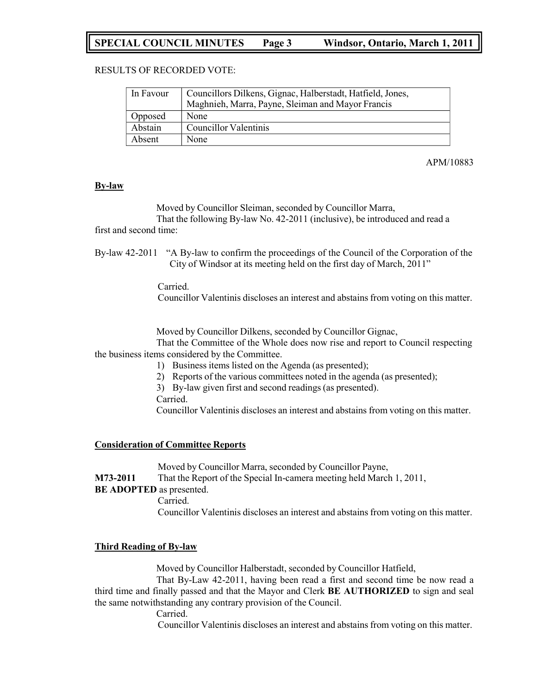# **SPECIAL COUNCIL MINUTES Page 3 Windsor, Ontario, March 1, 2011**

### RESULTS OF RECORDED VOTE:

| In Favour | Councillors Dilkens, Gignac, Halberstadt, Hatfield, Jones,<br>Maghnieh, Marra, Payne, Sleiman and Mayor Francis |  |
|-----------|-----------------------------------------------------------------------------------------------------------------|--|
| Opposed   | None                                                                                                            |  |
| Abstain   | Councillor Valentinis                                                                                           |  |
| Absent    | None                                                                                                            |  |

APM/10883

#### **By-law**

Moved by Councillor Sleiman, seconded by Councillor Marra, That the following By-law No. 42-2011 (inclusive), be introduced and read a

first and second time:

By-law 42-2011 "A By-law to confirm the proceedings of the Council of the Corporation of the City of Windsor at its meeting held on the first day of March, 2011"

Carried.

Councillor Valentinis discloses an interest and abstains from voting on this matter.

Moved by Councillor Dilkens, seconded by Councillor Gignac,

That the Committee of the Whole does now rise and report to Council respecting the business items considered by the Committee.

- 1) Business items listed on the Agenda (as presented);
- 2) Reports of the various committees noted in the agenda (as presented);
- 3) By-law given first and second readings (as presented).

Carried.

Councillor Valentinis discloses an interest and abstains from voting on this matter.

#### **Consideration of Committee Reports**

Moved by Councillor Marra, seconded by Councillor Payne, **M73-2011** That the Report of the Special In-camera meeting held March 1, 2011, **BE ADOPTED** as presented.

Carried.

Councillor Valentinis discloses an interest and abstains from voting on this matter.

#### **Third Reading of By-law**

Moved by Councillor Halberstadt, seconded by Councillor Hatfield,

That By-Law 42-2011, having been read a first and second time be now read a third time and finally passed and that the Mayor and Clerk **BE AUTHORIZED** to sign and seal the same notwithstanding any contrary provision of the Council.

Carried.

Councillor Valentinis discloses an interest and abstains from voting on this matter.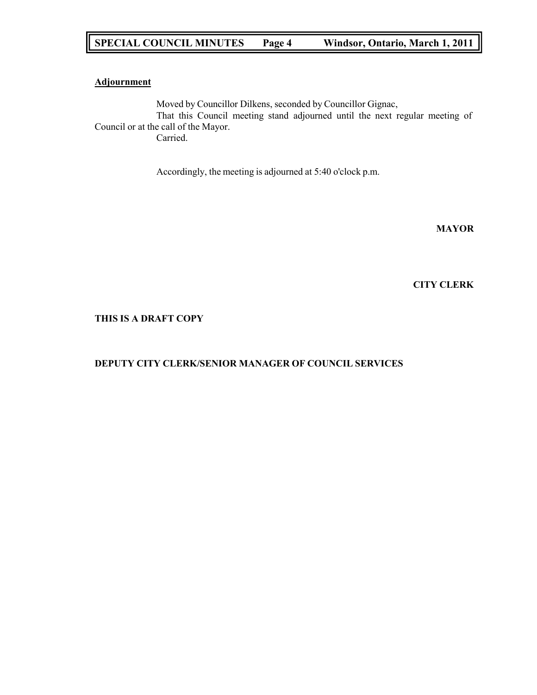# **SPECIAL COUNCIL MINUTES Page 4 Windsor, Ontario, March 1, 2011**

### **Adjournment**

Moved by Councillor Dilkens, seconded by Councillor Gignac, That this Council meeting stand adjourned until the next regular meeting of Council or at the call of the Mayor. Carried.

Accordingly, the meeting is adjourned at 5:40 o'clock p.m.

**MAYOR**

#### **CITY CLERK**

**THIS IS A DRAFT COPY**

### **DEPUTY CITY CLERK/SENIOR MANAGER OF COUNCIL SERVICES**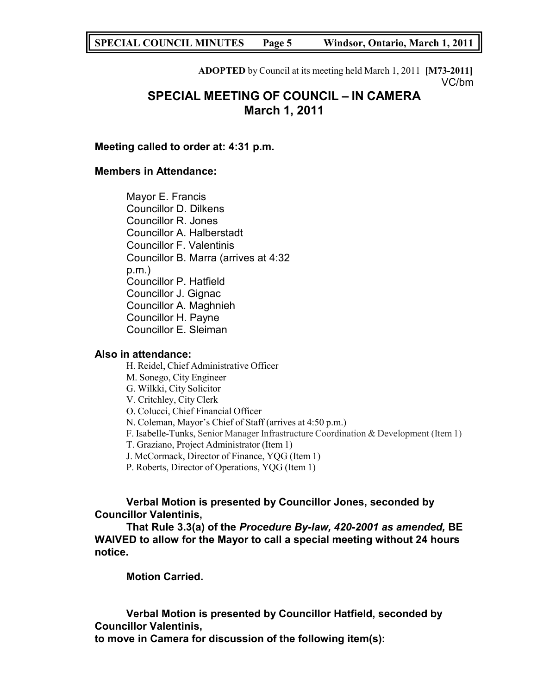**SPECIAL COUNCIL MINUTES Page 5 Windsor, Ontario, March 1, 2011**

**ADOPTED** by Council at its meeting held March 1, 2011 **[M73-2011]** VC/bm

# **SPECIAL MEETING OF COUNCIL – IN CAMERA March 1, 2011**

**Meeting called to order at: 4:31 p.m.**

## **Members in Attendance:**

Mayor E. Francis Councillor D. Dilkens Councillor R. Jones Councillor A. Halberstadt Councillor F. Valentinis Councillor B. Marra (arrives at 4:32 p.m.) Councillor P. Hatfield Councillor J. Gignac Councillor A. Maghnieh Councillor H. Payne Councillor E. Sleiman

### **Also in attendance:**

H. Reidel, Chief Administrative Officer M. Sonego, City Engineer G. Wilkki, City Solicitor V. Critchley, City Clerk O. Colucci, Chief Financial Officer N. Coleman, Mayor's Chief of Staff (arrives at 4:50 p.m.) F. Isabelle-Tunks, Senior Manager Infrastructure Coordination & Development (Item 1) T. Graziano, Project Administrator (Item 1) J. McCormack, Director of Finance, YQG (Item 1) P. Roberts, Director of Operations, YQG (Item 1)

# **Verbal Motion is presented by Councillor Jones, seconded by Councillor Valentinis,**

**That Rule 3.3(a) of the** *Procedure By-law, 420-2001 as amended,* **BE WAIVED to allow for the Mayor to call a special meeting without 24 hours notice.**

**Motion Carried.**

**Verbal Motion is presented by Councillor Hatfield, seconded by Councillor Valentinis,**

**to move in Camera for discussion of the following item(s):**